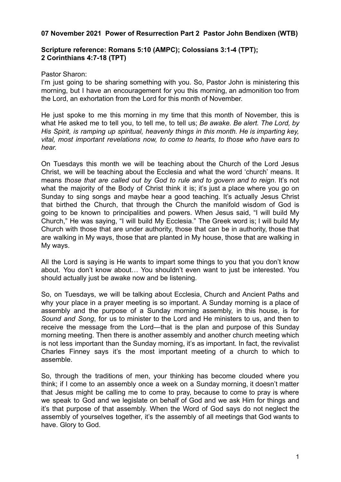## **07 November 2021 Power of Resurrection Part 2 Pastor John Bendixen (WTB)**

## **Scripture reference: Romans 5:10 (AMPC); Colossians 3:1-4 (TPT); 2 Corinthians 4:7-18 (TPT)**

## Pastor Sharon:

I'm just going to be sharing something with you. So, Pastor John is ministering this morning, but I have an encouragement for you this morning, an admonition too from the Lord, an exhortation from the Lord for this month of November.

He just spoke to me this morning in my time that this month of November, this is what He asked me to tell you, to tell me, to tell us; *Be awake. Be alert. The Lord, by His Spirit, is ramping up spiritual, heavenly things in this month. He is imparting key, vital, most important revelations now, to come to hearts, to those who have ears to hear.*

On Tuesdays this month we will be teaching about the Church of the Lord Jesus Christ, we will be teaching about the Ecclesia and what the word 'church' means. It means *those that are called out by God to rule and to govern and to reign*. It's not what the majority of the Body of Christ think it is; it's just a place where you go on Sunday to sing songs and maybe hear a good teaching. It's actually Jesus Christ that birthed the Church, that through the Church the manifold wisdom of God is going to be known to principalities and powers. When Jesus said, "I will build My Church," He was saying, "I will build My Ecclesia." The Greek word is; I will build My Church with those that are under authority, those that can be in authority, those that are walking in My ways, those that are planted in My house, those that are walking in My ways.

All the Lord is saying is He wants to impart some things to you that you don't know about. You don't know about… You shouldn't even want to just be interested. You should actually just be awake now and be listening.

So, on Tuesdays, we will be talking about Ecclesia, Church and Ancient Paths and why your place in a prayer meeting is so important. A Sunday morning is a place of assembly and the purpose of a Sunday morning assembly, in this house, is for *Sound and Song*, for us to minister to the Lord and He ministers to us, and then to receive the message from the Lord—that is the plan and purpose of this Sunday morning meeting. Then there is another assembly and another church meeting which is not less important than the Sunday morning, it's as important. In fact, the revivalist Charles Finney says it's the most important meeting of a church to which to assemble.

So, through the traditions of men, your thinking has become clouded where you think; if I come to an assembly once a week on a Sunday morning, it doesn't matter that Jesus might be calling me to come to pray, because to come to pray is where we speak to God and we legislate on behalf of God and we ask Him for things and it's that purpose of that assembly. When the Word of God says do not neglect the assembly of yourselves together, it's the assembly of all meetings that God wants to have. Glory to God.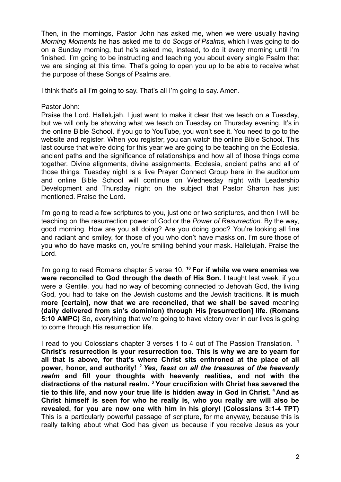Then, in the mornings, Pastor John has asked me, when we were usually having *Morning Moments* he has asked me to do *Songs of Psalms*, which I was going to do on a Sunday morning, but he's asked me, instead, to do it every morning until I'm finished. I'm going to be instructing and teaching you about every single Psalm that we are singing at this time. That's going to open you up to be able to receive what the purpose of these Songs of Psalms are.

I think that's all I'm going to say. That's all I'm going to say. Amen.

Pastor John:

Praise the Lord. Hallelujah. I just want to make it clear that we teach on a Tuesday, but we will only be showing what we teach on Tuesday on Thursday evening. It's in the online Bible School, if you go to YouTube, you won't see it. You need to go to the website and register. When you register, you can watch the online Bible School. This last course that we're doing for this year we are going to be teaching on the Ecclesia, ancient paths and the significance of relationships and how all of those things come together. Divine alignments, divine assignments, Ecclesia, ancient paths and all of those things. Tuesday night is a live Prayer Connect Group here in the auditorium and online Bible School will continue on Wednesday night with Leadership Development and Thursday night on the subject that Pastor Sharon has just mentioned. Praise the Lord.

I'm going to read a few scriptures to you, just one or two scriptures, and then I will be teaching on the resurrection power of God or the *Power of Resurrection*. By the way, good morning. How are you all doing? Are you doing good? You're looking all fine and radiant and smiley, for those of you who don't have masks on. I'm sure those of you who do have masks on, you're smiling behind your mask. Hallelujah. Praise the Lord.

I'm going to read Romans chapter 5 verse 10, **<sup>10</sup> For if while we were enemies we were reconciled to God through the death of His Son.** I taught last week, if you were a Gentile, you had no way of becoming connected to Jehovah God, the living God, you had to take on the Jewish customs and the Jewish traditions. **It is much more [certain], now that we are reconciled, that we shall be saved** meaning **(daily delivered from sin's dominion) through His [resurrection] life. (Romans 5:10 AMPC)** So, everything that we're going to have victory over in our lives is going to come through His resurrection life.

I read to you Colossians chapter 3 verses 1 to 4 out of The Passion Translation. **<sup>1</sup> Christ's resurrection is your resurrection too. This is why we are to yearn for all that is above, for that's where Christ sits enthroned at the place of all power, honor, and authority!** *<sup>2</sup> Yes, feast on all the treasures of the heavenly realm* **and fill your thoughts with heavenly realities, and not with the distractions of the natural realm. <sup>3</sup> Your crucifixion with Christ has severed the tie to this life, and now your true life is hidden away in God in Christ. <sup>4</sup> And as Christ himself is seen for who he really is, who you really are will also be revealed, for you are now one with him in his glory! (Colossians 3:1-4 TPT)** This is a particularly powerful passage of scripture, for me anyway, because this is really talking about what God has given us because if you receive Jesus as your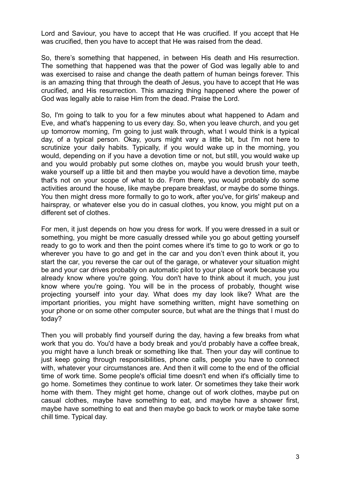Lord and Saviour, you have to accept that He was crucified. If you accept that He was crucified, then you have to accept that He was raised from the dead.

So, there's something that happened, in between His death and His resurrection. The something that happened was that the power of God was legally able to and was exercised to raise and change the death pattern of human beings forever. This is an amazing thing that through the death of Jesus, you have to accept that He was crucified, and His resurrection. This amazing thing happened where the power of God was legally able to raise Him from the dead. Praise the Lord.

So, I'm going to talk to you for a few minutes about what happened to Adam and Eve, and what's happening to us every day. So, when you leave church, and you get up tomorrow morning, I'm going to just walk through, what I would think is a typical day, of a typical person. Okay, yours might vary a little bit, but I'm not here to scrutinize your daily habits. Typically, if you would wake up in the morning, you would, depending on if you have a devotion time or not, but still, you would wake up and you would probably put some clothes on, maybe you would brush your teeth, wake yourself up a little bit and then maybe you would have a devotion time, maybe that's not on your scope of what to do. From there, you would probably do some activities around the house, like maybe prepare breakfast, or maybe do some things. You then might dress more formally to go to work, after you've, for girls' makeup and hairspray, or whatever else you do in casual clothes, you know, you might put on a different set of clothes.

For men, it just depends on how you dress for work. If you were dressed in a suit or something, you might be more casually dressed while you go about getting yourself ready to go to work and then the point comes where it's time to go to work or go to wherever you have to go and get in the car and you don't even think about it, you start the car, you reverse the car out of the garage, or whatever your situation might be and your car drives probably on automatic pilot to your place of work because you already know where you're going. You don't have to think about it much, you just know where you're going. You will be in the process of probably, thought wise projecting yourself into your day. What does my day look like? What are the important priorities, you might have something written, might have something on your phone or on some other computer source, but what are the things that I must do today?

Then you will probably find yourself during the day, having a few breaks from what work that you do. You'd have a body break and you'd probably have a coffee break, you might have a lunch break or something like that. Then your day will continue to just keep going through responsibilities, phone calls, people you have to connect with, whatever your circumstances are. And then it will come to the end of the official time of work time. Some people's official time doesn't end when it's officially time to go home. Sometimes they continue to work later. Or sometimes they take their work home with them. They might get home, change out of work clothes, maybe put on casual clothes, maybe have something to eat, and maybe have a shower first, maybe have something to eat and then maybe go back to work or maybe take some chill time. Typical day.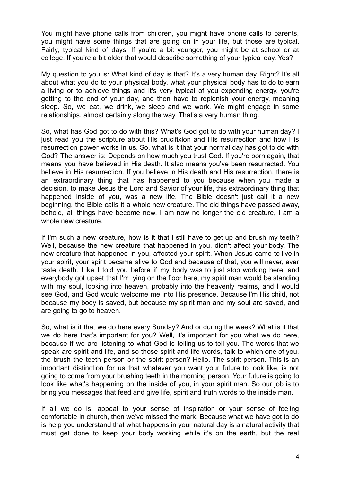You might have phone calls from children, you might have phone calls to parents, you might have some things that are going on in your life, but those are typical. Fairly, typical kind of days. If you're a bit younger, you might be at school or at college. If you're a bit older that would describe something of your typical day. Yes?

My question to you is: What kind of day is that? It's a very human day. Right? It's all about what you do to your physical body, what your physical body has to do to earn a living or to achieve things and it's very typical of you expending energy, you're getting to the end of your day, and then have to replenish your energy, meaning sleep. So, we eat, we drink, we sleep and we work. We might engage in some relationships, almost certainly along the way. That's a very human thing.

So, what has God got to do with this? What's God got to do with your human day? I just read you the scripture about His crucifixion and His resurrection and how His resurrection power works in us. So, what is it that your normal day has got to do with God? The answer is: Depends on how much you trust God. If you're born again, that means you have believed in His death. It also means you've been resurrected. You believe in His resurrection. If you believe in His death and His resurrection, there is an extraordinary thing that has happened to you because when you made a decision, to make Jesus the Lord and Savior of your life, this extraordinary thing that happened inside of you, was a new life. The Bible doesn't just call it a new beginning, the Bible calls it a whole new creature. The old things have passed away, behold, all things have become new. I am now no longer the old creature, I am a whole new creature.

If I'm such a new creature, how is it that I still have to get up and brush my teeth? Well, because the new creature that happened in you, didn't affect your body. The new creature that happened in you, affected your spirit. When Jesus came to live in your spirit, your spirit became alive to God and because of that, you will never, ever taste death. Like I told you before if my body was to just stop working here, and everybody got upset that I'm lying on the floor here, my spirit man would be standing with my soul, looking into heaven, probably into the heavenly realms, and I would see God, and God would welcome me into His presence. Because I'm His child, not because my body is saved, but because my spirit man and my soul are saved, and are going to go to heaven.

So, what is it that we do here every Sunday? And or during the week? What is it that we do here that's important for you? Well, it's important for you what we do here, because if we are listening to what God is telling us to tell you. The words that we speak are spirit and life, and so those spirit and life words, talk to which one of you, the brush the teeth person or the spirit person? Hello. The spirit person. This is an important distinction for us that whatever you want your future to look like, is not going to come from your brushing teeth in the morning person. Your future is going to look like what's happening on the inside of you, in your spirit man. So our job is to bring you messages that feed and give life, spirit and truth words to the inside man.

If all we do is, appeal to your sense of inspiration or your sense of feeling comfortable in church, then we've missed the mark. Because what we have got to do is help you understand that what happens in your natural day is a natural activity that must get done to keep your body working while it's on the earth, but the real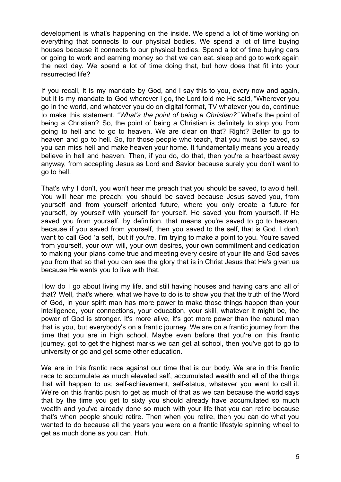development is what's happening on the inside. We spend a lot of time working on everything that connects to our physical bodies. We spend a lot of time buying houses because it connects to our physical bodies. Spend a lot of time buying cars or going to work and earning money so that we can eat, sleep and go to work again the next day. We spend a lot of time doing that, but how does that fit into your resurrected life?

If you recall, it is my mandate by God, and I say this to you, every now and again, but it is my mandate to God wherever I go, the Lord told me He said, "Wherever you go in the world, and whatever you do on digital format, TV whatever you do, continue to make this statement. "*What's the point of being a Christian?"* What's the point of being a Christian? So, the point of being a Christian is definitely to stop you from going to hell and to go to heaven. We are clear on that? Right? Better to go to heaven and go to hell. So, for those people who teach, that you must be saved, so you can miss hell and make heaven your home. It fundamentally means you already believe in hell and heaven. Then, if you do, do that, then you're a heartbeat away anyway, from accepting Jesus as Lord and Savior because surely you don't want to go to hell.

That's why I don't, you won't hear me preach that you should be saved, to avoid hell. You will hear me preach; you should be saved because Jesus saved you, from yourself and from yourself oriented future, where you only create a future for yourself, by yourself with yourself for yourself. He saved you from yourself. If He saved you from yourself, by definition, that means you're saved to go to heaven, because if you saved from yourself, then you saved to the self, that is God. I don't want to call God 'a self,' but if you're, I'm trying to make a point to you. You're saved from yourself, your own will, your own desires, your own commitment and dedication to making your plans come true and meeting every desire of your life and God saves you from that so that you can see the glory that is in Christ Jesus that He's given us because He wants you to live with that.

How do I go about living my life, and still having houses and having cars and all of that? Well, that's where, what we have to do is to show you that the truth of the Word of God, in your spirit man has more power to make those things happen than your intelligence, your connections, your education, your skill, whatever it might be, the power of God is stronger. It's more alive, it's got more power than the natural man that is you, but everybody's on a frantic journey. We are on a frantic journey from the time that you are in high school. Maybe even before that you're on this frantic journey, got to get the highest marks we can get at school, then you've got to go to university or go and get some other education.

We are in this frantic race against our time that is our body. We are in this frantic race to accumulate as much elevated self, accumulated wealth and all of the things that will happen to us; self-achievement, self-status, whatever you want to call it. We're on this frantic push to get as much of that as we can because the world says that by the time you get to sixty you should already have accumulated so much wealth and you've already done so much with your life that you can retire because that's when people should retire. Then when you retire, then you can do what you wanted to do because all the years you were on a frantic lifestyle spinning wheel to get as much done as you can. Huh.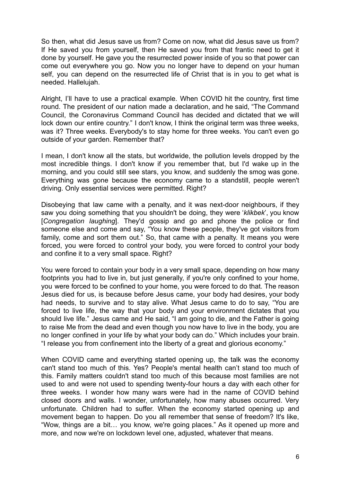So then, what did Jesus save us from? Come on now, what did Jesus save us from? If He saved you from yourself, then He saved you from that frantic need to get it done by yourself. He gave you the resurrected power inside of you so that power can come out everywhere you go. Now you no longer have to depend on your human self, you can depend on the resurrected life of Christ that is in you to get what is needed. Hallelujah.

Alright, I'll have to use a practical example. When COVID hit the country, first time round. The president of our nation made a declaration, and he said, "The Command Council, the Coronavirus Command Council has decided and dictated that we will lock down our entire country." I don't know. I think the original term was three weeks, was it? Three weeks. Everybody's to stay home for three weeks. You can't even go outside of your garden. Remember that?

I mean, I don't know all the stats, but worldwide, the pollution levels dropped by the most incredible things. I don't know if you remember that, but I'd wake up in the morning, and you could still see stars, you know, and suddenly the smog was gone. Everything was gone because the economy came to a standstill, people weren't driving. Only essential services were permitted. Right?

Disobeying that law came with a penalty, and it was next-door neighbours, if they saw you doing something that you shouldn't be doing, they were '*klikbek*', you know [*Congregation laughing*]. They'd gossip and go and phone the police or find someone else and come and say, "You know these people, they've got visitors from family, come and sort them out." So, that came with a penalty. It means you were forced, you were forced to control your body, you were forced to control your body and confine it to a very small space. Right?

You were forced to contain your body in a very small space, depending on how many footprints you had to live in, but just generally, if you're only confined to your home, you were forced to be confined to your home, you were forced to do that. The reason Jesus died for us, is because before Jesus came, your body had desires, your body had needs, to survive and to stay alive. What Jesus came to do to say, "You are forced to live life, the way that your body and your environment dictates that you should live life." Jesus came and He said, "I am going to die, and the Father is going to raise Me from the dead and even though you now have to live in the body, you are no longer confined in your life by what your body can do." Which includes your brain. "I release you from confinement into the liberty of a great and glorious economy."

When COVID came and everything started opening up, the talk was the economy can't stand too much of this. Yes? People's mental health can't stand too much of this. Family matters couldn't stand too much of this because most families are not used to and were not used to spending twenty-four hours a day with each other for three weeks. I wonder how many wars were had in the name of COVID behind closed doors and walls. I wonder, unfortunately, how many abuses occurred. Very unfortunate. Children had to suffer. When the economy started opening up and movement began to happen. Do you all remember that sense of freedom? It's like, "Wow, things are a bit… you know, we're going places." As it opened up more and more, and now we're on lockdown level one, adjusted, whatever that means.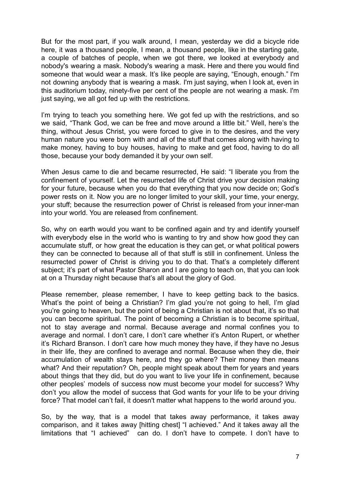But for the most part, if you walk around, I mean, yesterday we did a bicycle ride here, it was a thousand people, I mean, a thousand people, like in the starting gate, a couple of batches of people, when we got there, we looked at everybody and nobody's wearing a mask. Nobody's wearing a mask. Here and there you would find someone that would wear a mask. It's like people are saying, "Enough, enough." I'm not downing anybody that is wearing a mask. I'm just saying, when I look at, even in this auditorium today, ninety-five per cent of the people are not wearing a mask. I'm just saying, we all got fed up with the restrictions.

I'm trying to teach you something here. We got fed up with the restrictions, and so we said, "Thank God, we can be free and move around a little bit." Well, here's the thing, without Jesus Christ, you were forced to give in to the desires, and the very human nature you were born with and all of the stuff that comes along with having to make money, having to buy houses, having to make and get food, having to do all those, because your body demanded it by your own self.

When Jesus came to die and became resurrected, He said: "I liberate you from the confinement of yourself. Let the resurrected life of Christ drive your decision making for your future, because when you do that everything that you now decide on; God's power rests on it. Now you are no longer limited to your skill, your time, your energy, your stuff; because the resurrection power of Christ is released from your inner-man into your world. You are released from confinement.

So, why on earth would you want to be confined again and try and identify yourself with everybody else in the world who is wanting to try and show how good they can accumulate stuff, or how great the education is they can get, or what political powers they can be connected to because all of that stuff is still in confinement. Unless the resurrected power of Christ is driving you to do that. That's a completely different subject; it's part of what Pastor Sharon and I are going to teach on, that you can look at on a Thursday night because that's all about the glory of God.

Please remember, please remember, I have to keep getting back to the basics. What's the point of being a Christian? I'm glad you're not going to hell, I'm glad you're going to heaven, but the point of being a Christian is not about that, it's so that you can become spiritual. The point of becoming a Christian is to become spiritual, not to stay average and normal. Because average and normal confines you to average and normal. I don't care, I don't care whether it's Anton Rupert, or whether it's Richard Branson. I don't care how much money they have, if they have no Jesus in their life, they are confined to average and normal. Because when they die, their accumulation of wealth stays here, and they go where? Their money then means what? And their reputation? Oh, people might speak about them for years and years about things that they did, but do you want to live your life in confinement, because other peoples' models of success now must become your model for success? Why don't you allow the model of success that God wants for your life to be your driving force? That model can't fail, it doesn't matter what happens to the world around you.

So, by the way, that is a model that takes away performance, it takes away comparison, and it takes away [hitting chest] "I achieved." And it takes away all the limitations that "I achieved" can do. I don't have to compete. I don't have to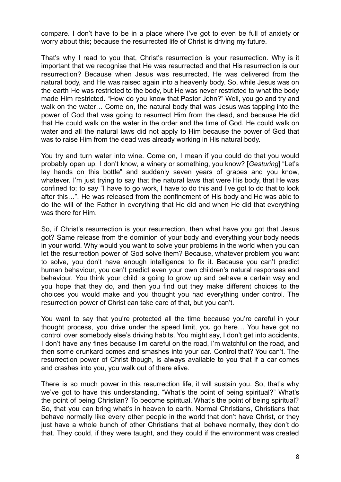compare. I don't have to be in a place where I've got to even be full of anxiety or worry about this; because the resurrected life of Christ is driving my future.

That's why I read to you that, Christ's resurrection is your resurrection. Why is it important that we recognise that He was resurrected and that His resurrection is our resurrection? Because when Jesus was resurrected, He was delivered from the natural body, and He was raised again into a heavenly body. So, while Jesus was on the earth He was restricted to the body, but He was never restricted to what the body made Him restricted. "How do you know that Pastor John?" Well, you go and try and walk on the water… Come on, the natural body that was Jesus was tapping into the power of God that was going to resurrect Him from the dead, and because He did that He could walk on the water in the order and the time of God. He could walk on water and all the natural laws did not apply to Him because the power of God that was to raise Him from the dead was already working in His natural body.

You try and turn water into wine. Come on, I mean if you could do that you would probably open up, I don't know, a winery or something, you know? [*Gesturing*] "Let's lay hands on this bottle" and suddenly seven years of grapes and you know, whatever. I'm just trying to say that the natural laws that were His body, that He was confined to; to say "I have to go work, I have to do this and I've got to do that to look after this…", He was released from the confinement of His body and He was able to do the will of the Father in everything that He did and when He did that everything was there for Him.

So, if Christ's resurrection is your resurrection, then what have you got that Jesus got? Same release from the dominion of your body and everything your body needs in your world. Why would you want to solve your problems in the world when you can let the resurrection power of God solve them? Because, whatever problem you want to solve, you don't have enough intelligence to fix it. Because you can't predict human behaviour, you can't predict even your own children's natural responses and behaviour. You think your child is going to grow up and behave a certain way and you hope that they do, and then you find out they make different choices to the choices you would make and you thought you had everything under control. The resurrection power of Christ can take care of that, but you can't.

You want to say that you're protected all the time because you're careful in your thought process, you drive under the speed limit, you go here… You have got no control over somebody else's driving habits. You might say, I don't get into accidents, I don't have any fines because I'm careful on the road, I'm watchful on the road, and then some drunkard comes and smashes into your car. Control that? You can't. The resurrection power of Christ though, is always available to you that if a car comes and crashes into you, you walk out of there alive.

There is so much power in this resurrection life, it will sustain you. So, that's why we've got to have this understanding, "What's the point of being spiritual?" What's the point of being Christian? To become spiritual. What's the point of being spiritual? So, that you can bring what's in heaven to earth. Normal Christians, Christians that behave normally like every other people in the world that don't have Christ, or they just have a whole bunch of other Christians that all behave normally, they don't do that. They could, if they were taught, and they could if the environment was created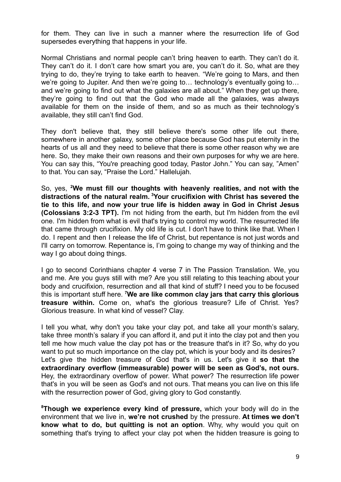for them. They can live in such a manner where the resurrection life of God supersedes everything that happens in your life.

Normal Christians and normal people can't bring heaven to earth. They can't do it. They can't do it. I don't care how smart you are, you can't do it. So, what are they trying to do, they're trying to take earth to heaven. "We're going to Mars, and then we're going to Jupiter. And then we're going to… technology's eventually going to… and we're going to find out what the galaxies are all about." When they get up there, they're going to find out that the God who made all the galaxies, was always available for them on the inside of them, and so as much as their technology's available, they still can't find God.

They don't believe that, they still believe there's some other life out there, somewhere in another galaxy, some other place because God has put eternity in the hearts of us all and they need to believe that there is some other reason why we are here. So, they make their own reasons and their own purposes for why we are here. You can say this, "You're preaching good today, Pastor John." You can say, "Amen" to that. You can say, "Praise the Lord." Hallelujah.

So, yes, **<sup>2</sup>We must fill our thoughts with heavenly realities, and not with the distractions of the natural realm. <sup>3</sup>Your crucifixion with Christ has severed the tie to this life, and now your true life is hidden away in God in Christ Jesus (Colossians 3:2-3 TPT).** I'm not hiding from the earth, but I'm hidden from the evil one. I'm hidden from what is evil that's trying to control my world. The resurrected life that came through crucifixion. My old life is cut. I don't have to think like that. When I do. I repent and then I release the life of Christ, but repentance is not just words and I'll carry on tomorrow. Repentance is, I'm going to change my way of thinking and the way I go about doing things.

I go to second Corinthians chapter 4 verse 7 in The Passion Translation. We, you and me. Are you guys still with me? Are you still relating to this teaching about your body and crucifixion, resurrection and all that kind of stuff? I need you to be focused this is important stuff here. **<sup>7</sup>We are like common clay jars that carry this glorious treasure within.** Come on, what's the glorious treasure? Life of Christ. Yes? Glorious treasure. In what kind of vessel? Clay.

I tell you what, why don't you take your clay pot, and take all your month's salary, take three month's salary if you can afford it, and put it into the clay pot and then you tell me how much value the clay pot has or the treasure that's in it? So, why do you want to put so much importance on the clay pot, which is your body and its desires? Let's give the hidden treasure of God that's in us. Let's give it **so that the extraordinary overflow (immeasurable) power will be seen as God's, not ours.** Hey, the extraordinary overflow of power. What power? The resurrection life power that's in you will be seen as God's and not ours. That means you can live on this life with the resurrection power of God, giving glory to God constantly.

**<sup>8</sup>Though we experience every kind of pressure,** which your body will do in the environment that we live in, **we're not crushed** by the pressure. **At times we don't know what to do, but quitting is not an option**. Why, why would you quit on something that's trying to affect your clay pot when the hidden treasure is going to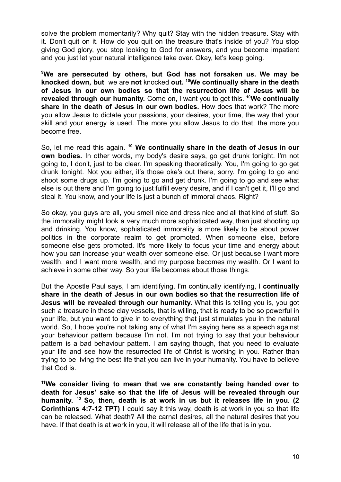solve the problem momentarily? Why quit? Stay with the hidden treasure. Stay with it. Don't quit on it. How do you quit on the treasure that's inside of you? You stop giving God glory, you stop looking to God for answers, and you become impatient and you just let your natural intelligence take over. Okay, let's keep going.

**<sup>9</sup>We are persecuted by others, but God has not forsaken us. We may be knocked down, but** we are **not** knocked **out. <sup>10</sup>We continually share in the death of Jesus in our own bodies so that the resurrection life of Jesus will be revealed through our humanity.** Come on, I want you to get this. **<sup>10</sup>We continually share in the death of Jesus in our own bodies.** How does that work? The more you allow Jesus to dictate your passions, your desires, your time, the way that your skill and your energy is used. The more you allow Jesus to do that, the more you become free.

So, let me read this again. **<sup>10</sup> We continually share in the death of Jesus in our own bodies.** In other words, my body's desire says, go get drunk tonight. I'm not going to, I don't, just to be clear. I'm speaking theoretically. You, I'm going to go get drunk tonight. Not you either, it's those oke's out there, sorry. I'm going to go and shoot some drugs up. I'm going to go and get drunk. I'm going to go and see what else is out there and I'm going to just fulfill every desire, and if I can't get it, I'll go and steal it. You know, and your life is just a bunch of immoral chaos. Right?

So okay, you guys are all, you smell nice and dress nice and all that kind of stuff. So the immorality might look a very much more sophisticated way, than just shooting up and drinking. You know, sophisticated immorality is more likely to be about power politics in the corporate realm to get promoted. When someone else, before someone else gets promoted. It's more likely to focus your time and energy about how you can increase your wealth over someone else. Or just because I want more wealth, and I want more wealth, and my purpose becomes my wealth. Or I want to achieve in some other way. So your life becomes about those things.

But the Apostle Paul says, I am identifying, I'm continually identifying, I **continually share in the death of Jesus in our own bodies so that the resurrection life of Jesus will be revealed through our humanity.** What this is telling you is, you got such a treasure in these clay vessels, that is willing, that is ready to be so powerful in your life, but you want to give in to everything that just stimulates you in the natural world. So, I hope you're not taking any of what I'm saying here as a speech against your behaviour pattern because I'm not. I'm not trying to say that your behaviour pattern is a bad behaviour pattern. I am saying though, that you need to evaluate your life and see how the resurrected life of Christ is working in you. Rather than trying to be living the best life that you can live in your humanity. You have to believe that God is.

**<sup>11</sup>We consider living to mean that we are constantly being handed over to death for Jesus' sake so that the life of Jesus will be revealed through our humanity. <sup>12</sup> So, then, death is at work in us but it releases life in you. (2 Corinthians 4:7-12 TPT)** I could say it this way, death is at work in you so that life can be released. What death? All the carnal desires, all the natural desires that you have. If that death is at work in you, it will release all of the life that is in you.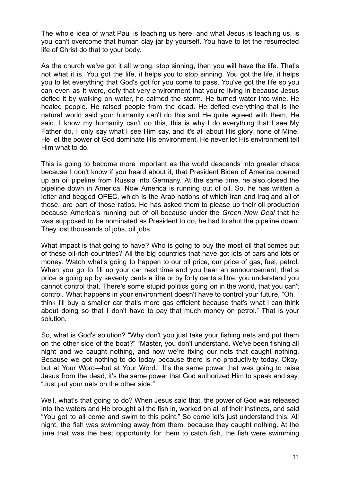The whole idea of what Paul is teaching us here, and what Jesus is teaching us, is you can't overcome that human clay jar by yourself. You have to let the resurrected life of Christ do that to your body.

As the church we've got it all wrong, stop sinning, then you will have the life. That's not what it is. You got the life, it helps you to stop sinning. You got the life, it helps you to let everything that God's got for you come to pass. You've got the life so you can even as it were, defy that very environment that you're living in because Jesus defied it by walking on water, he calmed the storm. He turned water into wine. He healed people. He raised people from the dead. He defied everything that is the natural world said your humanity can't do this and He quite agreed with them, He said, I know my humanity can't do this, this is why I do everything that I see My Father do, I only say what I see Him say, and it's all about His glory, none of Mine. He let the power of God dominate His environment, He never let His environment tell Him what to do.

This is going to become more important as the world descends into greater chaos because I don't know if you heard about it, that President Biden of America opened up an oil pipeline from Russia into Germany. At the same time, he also closed the pipeline down in America. Now America is running out of oil. So, he has written a letter and begged OPEC, which is the Arab nations of which Iran and Iraq and all of those, are part of those ratios. He has asked them to please up their oil production because America's running out of oil because under the *Green New Deal* that he was supposed to be nominated as President to do, he had to shut the pipeline down. They lost thousands of jobs, oil jobs.

What impact is that going to have? Who is going to buy the most oil that comes out of these oil-rich countries? All the big countries that have got lots of cars and lots of money. Watch what's going to happen to our oil price, our price of gas, fuel, petrol. When you go to fill up your car next time and you hear an announcement, that a price is going up by seventy cents a litre or by forty cents a litre, you understand you cannot control that. There's some stupid politics going on in the world, that you can't control. What happens in your environment doesn't have to control your future, "Oh, I think I'll buy a smaller car that's more gas efficient because that's what I can think about doing so that I don't have to pay that much money on petrol." That is your solution.

So, what is God's solution? "Why don't you just take your fishing nets and put them on the other side of the boat?" "Master, you don't understand. We've been fishing all night and we caught nothing, and now we're fixing our nets that caught nothing. Because we got nothing to do today because there is no productivity today. Okay, but at Your Word—but at Your Word." It's the same power that was going to raise Jesus from the dead, it's the same power that God authorized Him to speak and say, "Just put your nets on the other side."

Well, what's that going to do? When Jesus said that, the power of God was released into the waters and He brought all the fish in, worked on all of their instincts, and said "You got to all come and swim to this point." So come let's just understand this: All night, the fish was swimming away from them, because they caught nothing. At the time that was the best opportunity for them to catch fish, the fish were swimming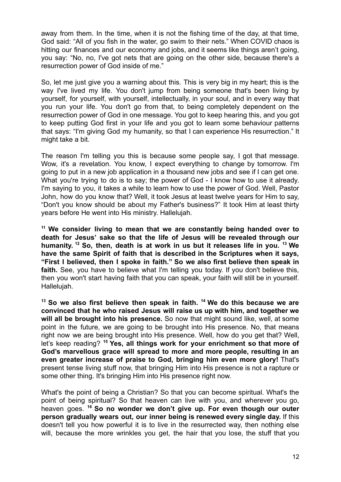away from them. In the time, when it is not the fishing time of the day, at that time, God said: "All of you fish in the water, go swim to their nets." When COVID chaos is hitting our finances and our economy and jobs, and it seems like things aren't going, you say: "No, no, I've got nets that are going on the other side, because there's a resurrection power of God inside of me."

So, let me just give you a warning about this. This is very big in my heart; this is the way I've lived my life. You don't jump from being someone that's been living by yourself, for yourself, with yourself, intellectually, in your soul, and in every way that you run your life. You don't go from that, to being completely dependent on the resurrection power of God in one message. You got to keep hearing this, and you got to keep putting God first in your life and you got to learn some behaviour patterns that says: "I'm giving God my humanity, so that I can experience His resurrection." It might take a bit.

The reason I'm telling you this is because some people say, I got that message. Wow, it's a revelation. You know, I expect everything to change by tomorrow. I'm going to put in a new job application in a thousand new jobs and see if I can get one. What you're trying to do is to say; the power of God - I know how to use it already. I'm saying to you, it takes a while to learn how to use the power of God. Well, Pastor John, how do you know that? Well, it took Jesus at least twelve years for Him to say, "Don't you know should be about my Father's business?" It took Him at least thirty years before He went into His ministry. Hallelujah.

**<sup>11</sup> We consider living to mean that we are constantly being handed over to death for Jesus' sake so that the life of Jesus will be revealed through our humanity. <sup>12</sup> So, then, death is at work in us but it releases life in you. <sup>13</sup> We have the same Spirit of faith that is described in the Scriptures when it says, "First I believed, then I spoke in faith." So we also first believe then speak in** faith. See, you have to believe what I'm telling you today. If you don't believe this, then you won't start having faith that you can speak, your faith will still be in yourself. Hallelujah.

**<sup>13</sup> So we also first believe then speak in faith. <sup>14</sup> We do this because we are convinced that he who raised Jesus will raise us up with him, and together we will all be brought into his presence.** So now that might sound like, well, at some point in the future, we are going to be brought into His presence. No, that means right now we are being brought into His presence. Well, how do you get that? Well, let's keep reading? **<sup>15</sup> Yes, all things work for your enrichment so that more of God's marvellous grace will spread to more and more people, resulting in an even greater increase of praise to God, bringing him even more glory!** That's present tense living stuff now, that bringing Him into His presence is not a rapture or some other thing. It's bringing Him into His presence right now.

What's the point of being a Christian? So that you can become spiritual. What's the point of being spiritual? So that heaven can live with you, and wherever you go, heaven goes. **<sup>16</sup> So no wonder we don't give up. For even though our outer person gradually wears out, our inner being is renewed every single day.** If this doesn't tell you how powerful it is to live in the resurrected way, then nothing else will, because the more wrinkles you get, the hair that you lose, the stuff that you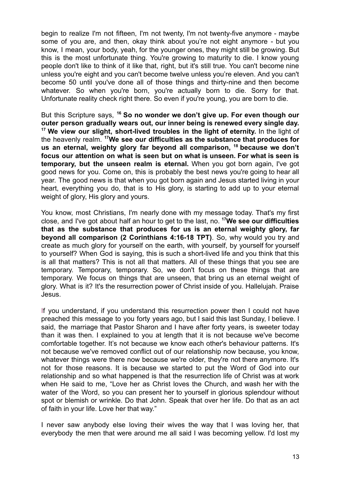begin to realize I'm not fifteen, I'm not twenty, I'm not twenty-five anymore - maybe some of you are, and then, okay think about you're not eight anymore - but you know, I mean, your body, yeah, for the younger ones, they might still be growing. But this is the most unfortunate thing. You're growing to maturity to die. I know young people don't like to think of it like that, right, but it's still true. You can't become nine unless you're eight and you can't become twelve unless you're eleven. And you can't become 50 until you've done all of those things and thirty-nine and then become whatever. So when you're born, you're actually born to die. Sorry for that. Unfortunate reality check right there. So even if you're young, you are born to die.

But this Scripture says, **<sup>16</sup> So no wonder we don't give up. For even though our outer person gradually wears out, our inner being is renewed every single day. <sup>17</sup> We view our slight, short-lived troubles in the light of eternity.** In the light of the heavenly realm. **<sup>17</sup>We see our difficulties as the substance that produces for us an eternal, weighty glory far beyond all comparison, <sup>18</sup> because we don't focus our attention on what is seen but on what is unseen. For what is seen is temporary, but the unseen realm is eternal.** When you got born again, I've got good news for you. Come on, this is probably the best news you're going to hear all year. The good news is that when you got born again and Jesus started living in your heart, everything you do, that is to His glory, is starting to add up to your eternal weight of glory, His glory and yours.

You know, most Christians, I'm nearly done with my message today. That's my first close, and I've got about half an hour to get to the last, no. **<sup>17</sup>We see our difficulties that as the substance that produces for us is an eternal weighty glory, far beyond all comparison (2 Corinthians 4:16-18 TPT)**. So, why would you try and create as much glory for yourself on the earth, with yourself, by yourself for yourself to yourself? When God is saying, this is such a short-lived life and you think that this is all that matters? This is not all that matters. All of these things that you see are temporary. Temporary, temporary. So, we don't focus on these things that are temporary. We focus on things that are unseen, that bring us an eternal weight of glory. What is it? It's the resurrection power of Christ inside of you. Hallelujah. Praise Jesus.

If you understand, if you understand this resurrection power then I could not have preached this message to you forty years ago, but I said this last Sunday, I believe. I said, the marriage that Pastor Sharon and I have after forty years, is sweeter today than it was then. I explained to you at length that it is not because we've become comfortable together. It's not because we know each other's behaviour patterns. It's not because we've removed conflict out of our relationship now because, you know, whatever things were there now because we're older, they're not there anymore. It's not for those reasons. It is because we started to put the Word of God into our relationship and so what happened is that the resurrection life of Christ was at work when He said to me, "Love her as Christ loves the Church, and wash her with the water of the Word, so you can present her to yourself in glorious splendour without spot or blemish or wrinkle. Do that John. Speak that over her life. Do that as an act of faith in your life. Love her that way."

I never saw anybody else loving their wives the way that I was loving her, that everybody the men that were around me all said I was becoming yellow. I'd lost my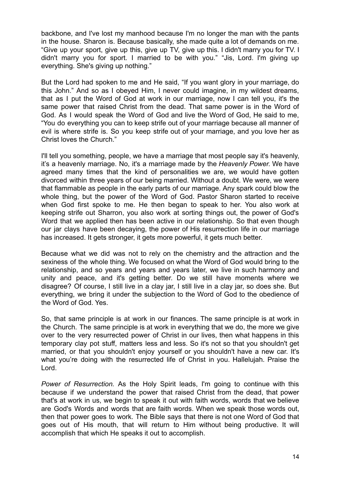backbone, and I've lost my manhood because I'm no longer the man with the pants in the house. Sharon is. Because basically, she made quite a lot of demands on me. "Give up your sport, give up this, give up TV, give up this. I didn't marry you for TV. I didn't marry you for sport. I married to be with you." "Jis, Lord. I'm giving up everything. She's giving up nothing."

But the Lord had spoken to me and He said, "If you want glory in your marriage, do this John." And so as I obeyed Him, I never could imagine, in my wildest dreams, that as I put the Word of God at work in our marriage, now I can tell you, it's the same power that raised Christ from the dead. That same power is in the Word of God. As I would speak the Word of God and live the Word of God, He said to me, "You do everything you can to keep strife out of your marriage because all manner of evil is where strife is. So you keep strife out of your marriage, and you love her as Christ loves the Church."

I'll tell you something, people, we have a marriage that most people say it's heavenly, it's a heavenly marriage. No, it's a marriage made by the *Heavenly Power.* We have agreed many times that the kind of personalities we are, we would have gotten divorced within three years of our being married. Without a doubt. We were, we were that flammable as people in the early parts of our marriage. Any spark could blow the whole thing, but the power of the Word of God. Pastor Sharon started to receive when God first spoke to me. He then began to speak to her. You also work at keeping strife out Sharron, you also work at sorting things out, the power of God's Word that we applied then has been active in our relationship. So that even though our jar clays have been decaying, the power of His resurrection life in our marriage has increased. It gets stronger, it gets more powerful, it gets much better.

Because what we did was not to rely on the chemistry and the attraction and the sexiness of the whole thing. We focused on what the Word of God would bring to the relationship, and so years and years and years later, we live in such harmony and unity and peace, and it's getting better. Do we still have moments where we disagree? Of course, I still live in a clay jar, I still live in a clay jar, so does she. But everything, we bring it under the subjection to the Word of God to the obedience of the Word of God. Yes.

So, that same principle is at work in our finances. The same principle is at work in the Church. The same principle is at work in everything that we do, the more we give over to the very resurrected power of Christ in our lives, then what happens in this temporary clay pot stuff, matters less and less. So it's not so that you shouldn't get married, or that you shouldn't enjoy yourself or you shouldn't have a new car. It's what you're doing with the resurrected life of Christ in you. Hallelujah. Praise the Lord.

*Power of Resurrection.* As the Holy Spirit leads, I'm going to continue with this because if we understand the power that raised Christ from the dead, that power that's at work in us, we begin to speak it out with faith words, words that we believe are God's Words and words that are faith words. When we speak those words out, then that power goes to work. The Bible says that there is not one Word of God that goes out of His mouth, that will return to Him without being productive. It will accomplish that which He speaks it out to accomplish.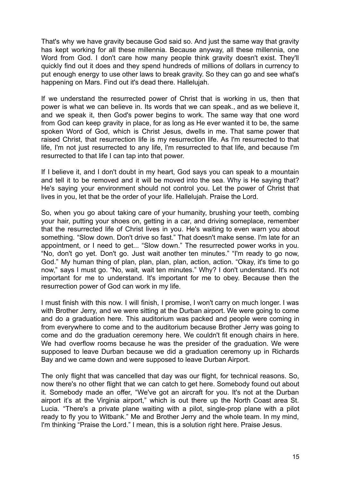That's why we have gravity because God said so. And just the same way that gravity has kept working for all these millennia. Because anyway, all these millennia, one Word from God. I don't care how many people think gravity doesn't exist. They'll quickly find out it does and they spend hundreds of millions of dollars in currency to put enough energy to use other laws to break gravity. So they can go and see what's happening on Mars. Find out it's dead there. Hallelujah.

If we understand the resurrected power of Christ that is working in us, then that power is what we can believe in. Its words that we can speak., and as we believe it, and we speak it, then God's power begins to work. The same way that one word from God can keep gravity in place, for as long as He ever wanted it to be, the same spoken Word of God, which is Christ Jesus, dwells in me. That same power that raised Christ, that resurrection life is my resurrection life. As I'm resurrected to that life, I'm not just resurrected to any life, I'm resurrected to that life, and because I'm resurrected to that life I can tap into that power.

If I believe it, and I don't doubt in my heart, God says you can speak to a mountain and tell it to be removed and it will be moved into the sea. Why is He saying that? He's saying your environment should not control you. Let the power of Christ that lives in you, let that be the order of your life. Hallelujah. Praise the Lord.

So, when you go about taking care of your humanity, brushing your teeth, combing your hair, putting your shoes on, getting in a car, and driving someplace, remember that the resurrected life of Christ lives in you. He's waiting to even warn you about something. "Slow down. Don't drive so fast." That doesn't make sense. I'm late for an appointment, or I need to get... "Slow down." The resurrected power works in you. "No, don't go yet. Don't go. Just wait another ten minutes." "I'm ready to go now, God." My human thing of plan, plan, plan, plan, action, action. "Okay, it's time to go now," says I must go. "No, wait, wait ten minutes." Why? I don't understand. It's not important for me to understand. It's important for me to obey. Because then the resurrection power of God can work in my life.

I must finish with this now. I will finish, I promise, I won't carry on much longer. I was with Brother Jerry, and we were sitting at the Durban airport. We were going to come and do a graduation here. This auditorium was packed and people were coming in from everywhere to come and to the auditorium because Brother Jerry was going to come and do the graduation ceremony here. We couldn't fit enough chairs in here. We had overflow rooms because he was the presider of the graduation. We were supposed to leave Durban because we did a graduation ceremony up in Richards Bay and we came down and were supposed to leave Durban Airport.

The only flight that was cancelled that day was our flight, for technical reasons. So, now there's no other flight that we can catch to get here. Somebody found out about it. Somebody made an offer, "We've got an aircraft for you. It's not at the Durban airport it's at the Virginia airport," which is out there up the North Coast area St. Lucia. "There's a private plane waiting with a pilot, single-prop plane with a pilot ready to fly you to Witbank." Me and Brother Jerry and the whole team. In my mind, I'm thinking "Praise the Lord." I mean, this is a solution right here. Praise Jesus.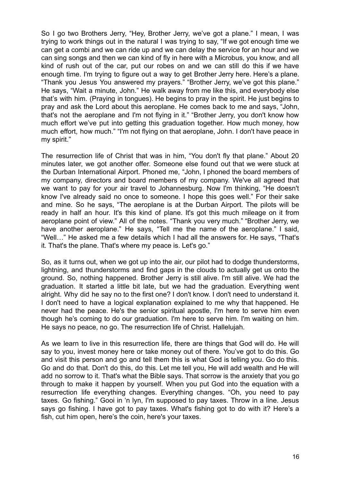So I go two Brothers Jerry, "Hey, Brother Jerry, we've got a plane." I mean, I was trying to work things out in the natural I was trying to say, "If we got enough time we can get a combi and we can ride up and we can delay the service for an hour and we can sing songs and then we can kind of fly in here with a Microbus, you know, and all kind of rush out of the car, put our robes on and we can still do this if we have enough time. I'm trying to figure out a way to get Brother Jerry here. Here's a plane. "Thank you Jesus You answered my prayers." "Brother Jerry, we've got this plane." He says, "Wait a minute, John." He walk away from me like this, and everybody else that's with him. (Praying in tongues). He begins to pray in the spirit. He just begins to pray and ask the Lord about this aeroplane. He comes back to me and says, "John, that's not the aeroplane and I'm not flying in it." "Brother Jerry, you don't know how much effort we've put into getting this graduation together. How much money, how much effort, how much." "I'm not flying on that aeroplane, John. I don't have peace in my spirit."

The resurrection life of Christ that was in him, "You don't fly that plane." About 20 minutes later, we got another offer. Someone else found out that we were stuck at the Durban International Airport. Phoned me, "John, I phoned the board members of my company, directors and board members of my company. We've all agreed that we want to pay for your air travel to Johannesburg. Now I'm thinking, "He doesn't know I've already said no once to someone. I hope this goes well." For their sake and mine. So he says, "The aeroplane is at the Durban Airport. The pilots will be ready in half an hour. It's this kind of plane. It's got this much mileage on it from aeroplane point of view." All of the notes. "Thank you very much." "Brother Jerry, we have another aeroplane." He says, "Tell me the name of the aeroplane." I said, "Well…" He asked me a few details which I had all the answers for. He says, "That's it. That's the plane. That's where my peace is. Let's go."

So, as it turns out, when we got up into the air, our pilot had to dodge thunderstorms, lightning, and thunderstorms and find gaps in the clouds to actually get us onto the ground. So, nothing happened. Brother Jerry is still alive. I'm still alive. We had the graduation. It started a little bit late, but we had the graduation. Everything went alright. Why did he say no to the first one? I don't know. I don't need to understand it. I don't need to have a logical explanation explained to me why that happened. He never had the peace. He's the senior spiritual apostle, I'm here to serve him even though he's coming to do our graduation. I'm here to serve him. I'm waiting on him. He says no peace, no go. The resurrection life of Christ. Hallelujah.

As we learn to live in this resurrection life, there are things that God will do. He will say to you, invest money here or take money out of there. You've got to do this. Go and visit this person and go and tell them this is what God is telling you. Go do this. Go and do that. Don't do this, do this. Let me tell you, He will add wealth and He will add no sorrow to it. That's what the Bible says. That sorrow is the anxiety that you go through to make it happen by yourself. When you put God into the equation with a resurrection life everything changes. Everything changes. "Oh, you need to pay taxes. Go fishing." Gooi in 'n lyn, I'm supposed to pay taxes. Throw in a line. Jesus says go fishing. I have got to pay taxes. What's fishing got to do with it? Here's a fish, cut him open, here's the coin, here's your taxes.